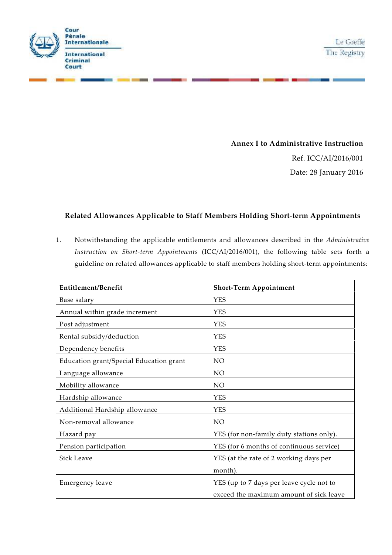

## **Annex I to Administrative Instruction**

Ref. ICC/AI/2016/001 Date: 28 January 2016

## **Related Allowances Applicable to Staff Members Holding Short-term Appointments**

1. Notwithstanding the applicable entitlements and allowances described in the *Administrative Instruction on Short-term Appointments* (ICC/AI/2016/001), the following table sets forth a guideline on related allowances applicable to staff members holding short-term appointments:

| <b>Entitlement/Benefit</b>              | <b>Short-Term Appointment</b>            |
|-----------------------------------------|------------------------------------------|
| Base salary                             | <b>YES</b>                               |
| Annual within grade increment           | <b>YES</b>                               |
| Post adjustment                         | <b>YES</b>                               |
| Rental subsidy/deduction                | <b>YES</b>                               |
| Dependency benefits                     | <b>YES</b>                               |
| Education grant/Special Education grant | NO                                       |
| Language allowance                      | NO.                                      |
| Mobility allowance                      | NO                                       |
| Hardship allowance                      | <b>YES</b>                               |
| Additional Hardship allowance           | <b>YES</b>                               |
| Non-removal allowance                   | N <sub>O</sub>                           |
| Hazard pay                              | YES (for non-family duty stations only). |
| Pension participation                   | YES (for 6 months of continuous service) |
| <b>Sick Leave</b>                       | YES (at the rate of 2 working days per   |
|                                         | month).                                  |
| Emergency leave                         | YES (up to 7 days per leave cycle not to |
|                                         | exceed the maximum amount of sick leave  |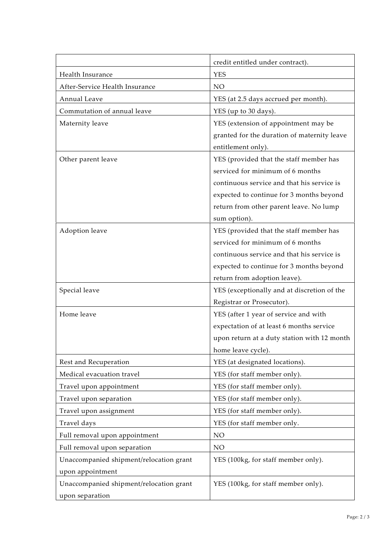|                                                    | credit entitled under contract).                                            |
|----------------------------------------------------|-----------------------------------------------------------------------------|
| Health Insurance                                   | <b>YES</b>                                                                  |
| After-Service Health Insurance                     | NO                                                                          |
| Annual Leave                                       | YES (at 2.5 days accrued per month).                                        |
| Commutation of annual leave                        |                                                                             |
|                                                    | YES (up to 30 days).                                                        |
| Maternity leave                                    | YES (extension of appointment may be                                        |
|                                                    | granted for the duration of maternity leave                                 |
|                                                    | entitlement only).                                                          |
| Other parent leave                                 | YES (provided that the staff member has<br>serviced for minimum of 6 months |
|                                                    |                                                                             |
|                                                    | continuous service and that his service is                                  |
|                                                    | expected to continue for 3 months beyond                                    |
|                                                    | return from other parent leave. No lump<br>sum option).                     |
| Adoption leave                                     | YES (provided that the staff member has                                     |
|                                                    | serviced for minimum of 6 months                                            |
|                                                    | continuous service and that his service is                                  |
|                                                    | expected to continue for 3 months beyond                                    |
|                                                    | return from adoption leave).                                                |
| Special leave                                      | YES (exceptionally and at discretion of the                                 |
|                                                    | Registrar or Prosecutor).                                                   |
| Home leave                                         | YES (after 1 year of service and with                                       |
|                                                    |                                                                             |
|                                                    | expectation of at least 6 months service                                    |
|                                                    | upon return at a duty station with 12 month                                 |
|                                                    | home leave cycle).<br>YES (at designated locations).                        |
| Rest and Recuperation<br>Medical evacuation travel | YES (for staff member only).                                                |
|                                                    |                                                                             |
| Travel upon appointment                            | YES (for staff member only).                                                |
| Travel upon separation                             | YES (for staff member only).                                                |
| Travel upon assignment                             | YES (for staff member only).                                                |
| Travel days                                        | YES (for staff member only.                                                 |
| Full removal upon appointment                      | NO                                                                          |
| Full removal upon separation                       | NO                                                                          |
| Unaccompanied shipment/relocation grant            | YES (100kg, for staff member only).                                         |
| upon appointment                                   |                                                                             |
| Unaccompanied shipment/relocation grant            | YES (100kg, for staff member only).                                         |
| upon separation                                    |                                                                             |